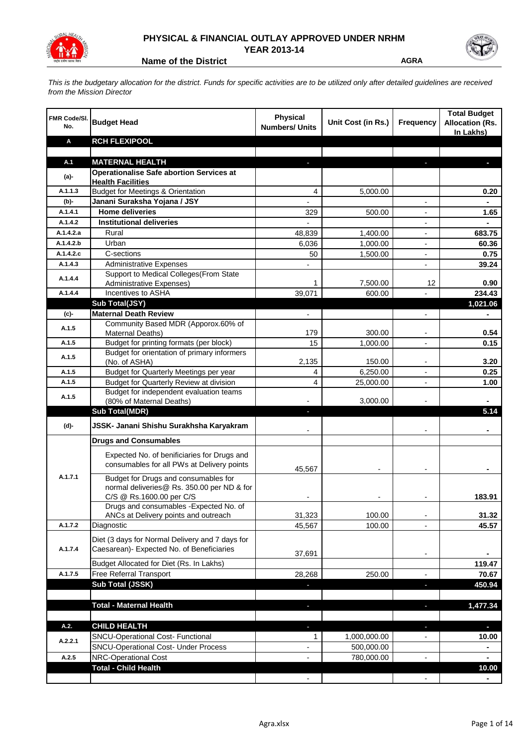

## **PHYSICAL & FINANCIAL OUTLAY APPROVED UNDER NRHM YEAR 2013-14**

**Name of the District AGRA** 

*This is the budgetary allocation for the district. Funds for specific activities are to be utilized only after detailed guidelines are received from the Mission Director*

| <b>FMR Code/SI.</b><br>No. | <b>Budget Head</b>                                                          | <b>Physical</b><br><b>Numbers/ Units</b> | Unit Cost (in Rs.)         | <b>Frequency</b>         | <b>Total Budget</b><br><b>Allocation (Rs.</b><br>In Lakhs) |
|----------------------------|-----------------------------------------------------------------------------|------------------------------------------|----------------------------|--------------------------|------------------------------------------------------------|
| Α                          | <b>RCH FLEXIPOOL</b>                                                        |                                          |                            |                          |                                                            |
|                            |                                                                             |                                          |                            |                          |                                                            |
| A.1                        | <b>MATERNAL HEALTH</b>                                                      |                                          |                            |                          |                                                            |
| (a)-                       | <b>Operationalise Safe abortion Services at</b><br><b>Health Facilities</b> |                                          |                            |                          |                                                            |
| A.1.1.3                    | <b>Budget for Meetings &amp; Orientation</b>                                | 4                                        | 5,000.00                   |                          | 0.20                                                       |
| (b)-                       | Janani Suraksha Yojana / JSY                                                |                                          |                            |                          |                                                            |
| A.1.4.1                    | <b>Home deliveries</b>                                                      | 329                                      | 500.00                     |                          | 1.65                                                       |
| A.1.4.2                    | <b>Institutional deliveries</b>                                             |                                          |                            |                          |                                                            |
| A.1.4.2.a                  | Rural                                                                       | 48,839                                   | 1,400.00                   | $\blacksquare$           | 683.75                                                     |
| A.1.4.2.b                  | Urban                                                                       | 6,036                                    | 1,000.00                   | $\overline{\phantom{a}}$ | 60.36                                                      |
| A.1.4.2.c                  | C-sections                                                                  | 50                                       | 1,500.00                   | $\overline{\phantom{a}}$ | 0.75                                                       |
| A.1.4.3                    | <b>Administrative Expenses</b>                                              |                                          |                            | $\overline{a}$           | 39.24                                                      |
| A.1.4.4                    | Support to Medical Colleges(From State                                      |                                          |                            |                          |                                                            |
|                            | <b>Administrative Expenses)</b><br>Incentives to ASHA                       | 1                                        | 7,500.00                   | 12                       | 0.90                                                       |
| A.1.4.4                    | Sub Total(JSY)                                                              | 39,071                                   | 600.00                     |                          | 234.43<br>1,021.06                                         |
| (c)-                       | <b>Maternal Death Review</b>                                                | $\overline{a}$                           |                            | $\overline{\phantom{a}}$ | ۰                                                          |
|                            | Community Based MDR (Apporox.60% of                                         |                                          |                            |                          |                                                            |
| A.1.5                      | Maternal Deaths)                                                            | 179                                      | 300.00                     |                          | 0.54                                                       |
| A.1.5                      | Budget for printing formats (per block)                                     | 15                                       | 1,000.00                   |                          | 0.15                                                       |
| A.1.5                      | Budget for orientation of primary informers                                 |                                          |                            |                          |                                                            |
|                            | (No. of ASHA)                                                               | 2,135                                    | 150.00                     | $\blacksquare$           | 3.20                                                       |
| A.1.5                      | Budget for Quarterly Meetings per year                                      | 4                                        | 6,250.00                   |                          | 0.25                                                       |
| A.1.5                      | Budget for Quarterly Review at division                                     | 4                                        | 25,000.00                  |                          | 1.00                                                       |
| A.1.5                      | Budget for independent evaluation teams<br>(80% of Maternal Deaths)         |                                          | 3,000.00                   |                          |                                                            |
|                            | <b>Sub Total(MDR)</b>                                                       | $\overline{\phantom{a}}$                 |                            |                          | 5.14                                                       |
| (d)-                       | JSSK- Janani Shishu Surakhsha Karyakram                                     |                                          |                            |                          |                                                            |
|                            |                                                                             |                                          |                            |                          |                                                            |
|                            | <b>Drugs and Consumables</b>                                                |                                          |                            |                          |                                                            |
|                            | Expected No. of benificiaries for Drugs and                                 |                                          |                            |                          |                                                            |
|                            | consumables for all PWs at Delivery points                                  | 45,567                                   |                            |                          |                                                            |
| A.1.7.1                    | Budget for Drugs and consumables for                                        |                                          |                            |                          |                                                            |
|                            | normal deliveries@ Rs. 350.00 per ND & for                                  |                                          |                            |                          |                                                            |
|                            | C/S @ Rs.1600.00 per C/S                                                    |                                          |                            |                          | 183.91                                                     |
|                            | Drugs and consumables - Expected No. of                                     | 31,323                                   | 100.00                     |                          | 31.32                                                      |
| A.1.7.2                    | ANCs at Delivery points and outreach<br>Diagnostic                          | 45,567                                   | 100.00                     |                          | 45.57                                                      |
|                            |                                                                             |                                          |                            |                          |                                                            |
|                            | Diet (3 days for Normal Delivery and 7 days for                             |                                          |                            |                          |                                                            |
| A.1.7.4                    | Caesarean)- Expected No. of Beneficiaries                                   | 37,691                                   |                            | $\overline{\phantom{a}}$ |                                                            |
|                            | Budget Allocated for Diet (Rs. In Lakhs)                                    |                                          |                            |                          | 119.47                                                     |
| A.1.7.5                    | <b>Free Referral Transport</b>                                              | 28,268                                   | 250.00                     | $\blacksquare$           | 70.67                                                      |
|                            | Sub Total (JSSK)                                                            |                                          |                            | $\blacksquare$           | 450.94                                                     |
|                            |                                                                             |                                          |                            |                          |                                                            |
|                            | <b>Total - Maternal Health</b>                                              |                                          |                            |                          | 1,477.34                                                   |
|                            |                                                                             |                                          |                            |                          |                                                            |
| A.2.                       | <b>CHILD HEALTH</b><br><b>SNCU-Operational Cost- Functional</b>             |                                          |                            | r.                       | o.                                                         |
| A.2.2.1                    | <b>SNCU-Operational Cost- Under Process</b>                                 | 1                                        | 1,000,000.00<br>500,000.00 |                          | 10.00                                                      |
| A.2.5                      | <b>NRC-Operational Cost</b>                                                 |                                          | 780,000.00                 |                          |                                                            |
|                            | <b>Total - Child Health</b>                                                 |                                          |                            |                          | 10.00                                                      |
|                            |                                                                             |                                          |                            |                          |                                                            |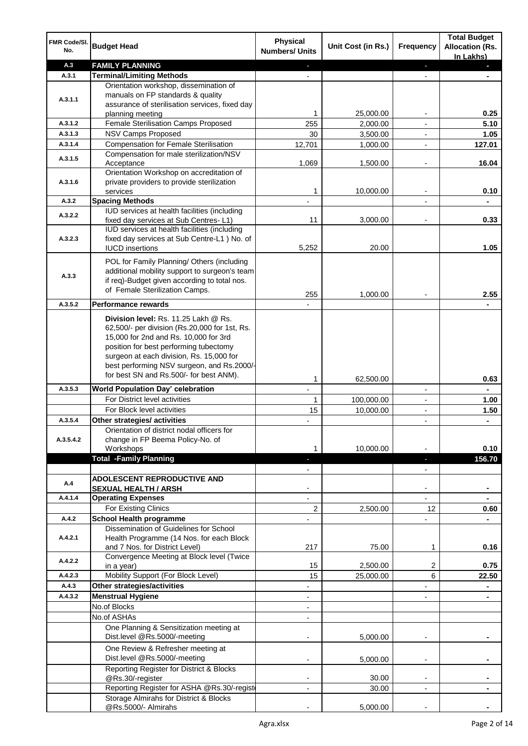| FMR Code/SI.<br>No. | <b>Budget Head</b>                                                                                                                                                                                                                                                 | Physical<br><b>Numbers/ Units</b> | Unit Cost (in Rs.) | Frequency                | <b>Total Budget</b><br><b>Allocation (Rs.</b><br>In Lakhs) |
|---------------------|--------------------------------------------------------------------------------------------------------------------------------------------------------------------------------------------------------------------------------------------------------------------|-----------------------------------|--------------------|--------------------------|------------------------------------------------------------|
| A.3                 | <b>FAMILY PLANNING</b>                                                                                                                                                                                                                                             | a.                                |                    | ٠                        | ٠                                                          |
| A.3.1               | <b>Terminal/Limiting Methods</b>                                                                                                                                                                                                                                   |                                   |                    |                          |                                                            |
| A.3.1.1             | Orientation workshop, dissemination of<br>manuals on FP standards & quality<br>assurance of sterilisation services, fixed day                                                                                                                                      |                                   |                    |                          |                                                            |
|                     | planning meeting                                                                                                                                                                                                                                                   | 1                                 | 25,000.00          |                          | 0.25                                                       |
| A.3.1.2             | Female Sterilisation Camps Proposed                                                                                                                                                                                                                                | 255                               | 2,000.00           |                          | 5.10                                                       |
| A.3.1.3             | NSV Camps Proposed                                                                                                                                                                                                                                                 | 30                                | 3,500.00           | $\overline{a}$           | 1.05                                                       |
| A.3.1.4             | <b>Compensation for Female Sterilisation</b>                                                                                                                                                                                                                       | 12,701                            | 1,000.00           | ÷,                       | 127.01                                                     |
| A.3.1.5             | Compensation for male sterilization/NSV<br>Acceptance                                                                                                                                                                                                              | 1,069                             | 1,500.00           |                          | 16.04                                                      |
| A.3.1.6             | Orientation Workshop on accreditation of<br>private providers to provide sterilization<br>services                                                                                                                                                                 | 1                                 | 10,000.00          | $\overline{\phantom{a}}$ | 0.10                                                       |
| A.3.2               | <b>Spacing Methods</b>                                                                                                                                                                                                                                             |                                   |                    |                          |                                                            |
|                     | IUD services at health facilities (including                                                                                                                                                                                                                       |                                   |                    |                          |                                                            |
| A.3.2.2             | fixed day services at Sub Centres-L1)<br>IUD services at health facilities (including                                                                                                                                                                              | 11                                | 3,000.00           |                          | 0.33                                                       |
| A.3.2.3             | fixed day services at Sub Centre-L1 ) No. of                                                                                                                                                                                                                       |                                   |                    |                          |                                                            |
|                     | <b>IUCD</b> insertions                                                                                                                                                                                                                                             | 5,252                             | 20.00              |                          | 1.05                                                       |
|                     |                                                                                                                                                                                                                                                                    |                                   |                    |                          |                                                            |
| A.3.3               | POL for Family Planning/ Others (including<br>additional mobility support to surgeon's team<br>if req)-Budget given according to total nos.                                                                                                                        |                                   |                    |                          |                                                            |
|                     | of Female Sterilization Camps.                                                                                                                                                                                                                                     | 255                               | 1,000.00           |                          | 2.55                                                       |
| A.3.5.2             | Performance rewards                                                                                                                                                                                                                                                |                                   |                    |                          |                                                            |
|                     |                                                                                                                                                                                                                                                                    |                                   |                    |                          |                                                            |
|                     | Division level: Rs. 11.25 Lakh @ Rs.<br>62,500/- per division (Rs.20,000 for 1st, Rs.<br>15,000 for 2nd and Rs. 10,000 for 3rd<br>position for best performing tubectomy<br>surgeon at each division, Rs. 15,000 for<br>best performing NSV surgeon, and Rs.2000/- |                                   |                    |                          |                                                            |
|                     | for best SN and Rs.500/- for best ANM).                                                                                                                                                                                                                            | 1                                 | 62,500.00          |                          | 0.63                                                       |
| A.3.5.3             | <b>World Population Day' celebration</b>                                                                                                                                                                                                                           |                                   |                    | $\overline{\phantom{a}}$ |                                                            |
|                     | For District level activities                                                                                                                                                                                                                                      | 1                                 | 100,000.00         |                          | 1.00                                                       |
|                     | For Block level activities                                                                                                                                                                                                                                         | 15                                | 10,000.00          |                          | 1.50                                                       |
| A.3.5.4             | Other strategies/ activities                                                                                                                                                                                                                                       |                                   |                    | $\overline{a}$           |                                                            |
|                     | Orientation of district nodal officers for                                                                                                                                                                                                                         |                                   |                    |                          |                                                            |
| A.3.5.4.2           | change in FP Beema Policy-No. of                                                                                                                                                                                                                                   |                                   |                    |                          |                                                            |
|                     | Workshops                                                                                                                                                                                                                                                          | 1                                 | 10,000.00          |                          | 0.10                                                       |
|                     | <b>Total -Family Planning</b>                                                                                                                                                                                                                                      | J,                                |                    | ٠                        | 156.70                                                     |
|                     |                                                                                                                                                                                                                                                                    |                                   |                    |                          |                                                            |
| A.4                 | <b>ADOLESCENT REPRODUCTIVE AND</b><br><b>SEXUAL HEALTH / ARSH</b>                                                                                                                                                                                                  |                                   |                    |                          |                                                            |
| A.4.1.4             | <b>Operating Expenses</b>                                                                                                                                                                                                                                          |                                   |                    |                          |                                                            |
|                     | For Existing Clinics                                                                                                                                                                                                                                               | 2                                 | 2,500.00           | 12                       | 0.60                                                       |
| A.4.2               | <b>School Health programme</b>                                                                                                                                                                                                                                     |                                   |                    |                          |                                                            |
| A.4.2.1             | Dissemination of Guidelines for School<br>Health Programme (14 Nos. for each Block                                                                                                                                                                                 |                                   |                    |                          |                                                            |
|                     | and 7 Nos. for District Level)                                                                                                                                                                                                                                     | 217                               | 75.00              | 1                        | 0.16                                                       |
| A.4.2.2             | Convergence Meeting at Block level (Twice<br>in a year)                                                                                                                                                                                                            | 15                                | 2,500.00           | 2                        | 0.75                                                       |
| A.4.2.3             | Mobility Support (For Block Level)                                                                                                                                                                                                                                 | 15                                | 25,000.00          | 6                        | 22.50                                                      |
| A.4.3               | Other strategies/activities                                                                                                                                                                                                                                        |                                   |                    |                          |                                                            |
| A.4.3.2             | <b>Menstrual Hygiene</b>                                                                                                                                                                                                                                           |                                   |                    |                          | $\blacksquare$                                             |
|                     | No.of Blocks                                                                                                                                                                                                                                                       | $\overline{\phantom{a}}$          |                    |                          |                                                            |
|                     | No.of ASHAs                                                                                                                                                                                                                                                        | $\overline{\phantom{a}}$          |                    |                          |                                                            |
|                     | One Planning & Sensitization meeting at<br>Dist.level @Rs.5000/-meeting                                                                                                                                                                                            |                                   | 5,000.00           |                          |                                                            |
|                     | One Review & Refresher meeting at<br>Dist.level @Rs.5000/-meeting                                                                                                                                                                                                  |                                   | 5,000.00           |                          |                                                            |
|                     | Reporting Register for District & Blocks<br>@Rs.30/-register                                                                                                                                                                                                       |                                   | 30.00              |                          |                                                            |
|                     | Reporting Register for ASHA @Rs.30/-regist                                                                                                                                                                                                                         | $\blacksquare$                    | 30.00              | $\blacksquare$           |                                                            |
|                     | Storage Almirahs for District & Blocks<br>@Rs.5000/- Almirahs                                                                                                                                                                                                      |                                   | 5,000.00           |                          |                                                            |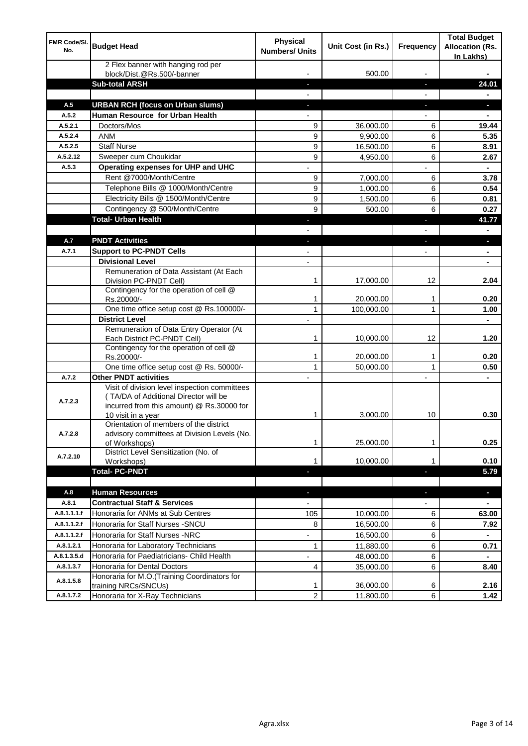| FMR Code/SI.<br>No.    | <b>Budget Head</b>                                                                                                                                        | <b>Physical</b><br><b>Numbers/ Units</b> | Unit Cost (in Rs.) | <b>Frequency</b>         | <b>Total Budget</b><br><b>Allocation (Rs.</b><br>In Lakhs) |
|------------------------|-----------------------------------------------------------------------------------------------------------------------------------------------------------|------------------------------------------|--------------------|--------------------------|------------------------------------------------------------|
|                        | 2 Flex banner with hanging rod per<br>block/Dist.@Rs.500/-banner                                                                                          |                                          | 500.00             |                          |                                                            |
|                        | <b>Sub-total ARSH</b>                                                                                                                                     |                                          |                    |                          | 24.01                                                      |
| A.5                    | <b>URBAN RCH (focus on Urban slums)</b>                                                                                                                   |                                          |                    |                          |                                                            |
| A.5.2                  | Human Resource for Urban Health                                                                                                                           |                                          |                    |                          |                                                            |
| A.5.2.1                | Doctors/Mos                                                                                                                                               | 9                                        | 36,000.00          | 6                        | 19.44                                                      |
| A.5.2.4                | <b>ANM</b>                                                                                                                                                | 9                                        | 9,900.00           | 6                        | 5.35                                                       |
| A.5.2.5                | <b>Staff Nurse</b>                                                                                                                                        | 9                                        | 16,500.00          | 6                        | 8.91                                                       |
| A.5.2.12               | Sweeper cum Choukidar                                                                                                                                     | 9                                        | 4,950.00           | 6                        | 2.67                                                       |
| A.5.3                  | Operating expenses for UHP and UHC                                                                                                                        |                                          |                    |                          |                                                            |
|                        | Rent @7000/Month/Centre                                                                                                                                   | 9                                        | 7,000.00           | 6                        | 3.78                                                       |
|                        | Telephone Bills @ 1000/Month/Centre                                                                                                                       | 9                                        | 1,000.00           | 6                        | 0.54                                                       |
|                        | Electricity Bills @ 1500/Month/Centre                                                                                                                     | 9                                        | 1,500.00           | 6                        | 0.81                                                       |
|                        | Contingency @ 500/Month/Centre                                                                                                                            | 9                                        | 500.00             | 6                        | 0.27                                                       |
|                        | <b>Total- Urban Health</b>                                                                                                                                |                                          |                    | ٠                        | 41.77                                                      |
|                        |                                                                                                                                                           |                                          |                    | $\overline{\phantom{0}}$ | $\blacksquare$                                             |
| A.7                    | <b>PNDT Activities</b>                                                                                                                                    | $\overline{\phantom{a}}$                 |                    | ÷,                       | a,                                                         |
| A.7.1                  | <b>Support to PC-PNDT Cells</b>                                                                                                                           |                                          |                    | $\overline{\phantom{0}}$ |                                                            |
|                        | <b>Divisional Level</b>                                                                                                                                   | $\overline{a}$                           |                    |                          | ä,                                                         |
|                        | Remuneration of Data Assistant (At Each<br>Division PC-PNDT Cell)                                                                                         | 1                                        | 17,000.00          | 12                       | 2.04                                                       |
|                        | Contingency for the operation of cell @<br>Rs.20000/-                                                                                                     | 1                                        | 20,000.00          | 1                        | 0.20                                                       |
|                        | One time office setup cost @ Rs.100000/-                                                                                                                  | $\mathbf{1}$                             | 100,000.00         | $\mathbf{1}$             | 1.00                                                       |
|                        | <b>District Level</b>                                                                                                                                     | $\overline{a}$                           |                    |                          | ٠                                                          |
|                        | Remuneration of Data Entry Operator (At<br>Each District PC-PNDT Cell)                                                                                    | 1                                        | 10,000.00          | 12                       | 1.20                                                       |
|                        | Contingency for the operation of cell @<br>Rs.20000/-                                                                                                     | 1                                        | 20,000.00          | 1                        | 0.20                                                       |
|                        | One time office setup cost @ Rs. 50000/-                                                                                                                  | $\mathbf{1}$                             | 50,000.00          | 1                        | 0.50                                                       |
| A.7.2                  | <b>Other PNDT activities</b>                                                                                                                              |                                          |                    |                          |                                                            |
| A.7.2.3                | Visit of division level inspection committees<br>(TA/DA of Additional Director will be<br>incurred from this amount) @ Rs.30000 for<br>10 visit in a year | 1                                        | 3,000.00           | 10                       | 0.30                                                       |
| A.7.2.8                | Orientation of members of the district<br>advisory committees at Division Levels (No.<br>of Workshops)                                                    | 1                                        | 25,000.00          | 1                        | 0.25                                                       |
| A.7.2.10               | District Level Sensitization (No. of<br>Workshops)                                                                                                        | 1                                        | 10,000.00          | 1                        | 0.10                                                       |
|                        | <b>Total- PC-PNDT</b>                                                                                                                                     | E.                                       |                    | ı                        | 5.79                                                       |
|                        |                                                                                                                                                           |                                          |                    |                          |                                                            |
| A.8                    | <b>Human Resources</b>                                                                                                                                    |                                          |                    | ÷,                       | ٠                                                          |
| A.8.1                  | <b>Contractual Staff &amp; Services</b>                                                                                                                   |                                          |                    |                          |                                                            |
| A.8.1.1.1.f            | Honoraria for ANMs at Sub Centres                                                                                                                         | 105                                      | 10,000.00          | 6                        | 63.00                                                      |
| A.8.1.1.2.f            | Honoraria for Staff Nurses - SNCU                                                                                                                         | 8                                        | 16,500.00          | 6                        | 7.92                                                       |
| A.8.1.1.2.f            | Honoraria for Staff Nurses -NRC                                                                                                                           |                                          | 16,500.00          | 6                        |                                                            |
| A.8.1.2.1              | Honoraria for Laboratory Technicians                                                                                                                      | $\mathbf{1}$                             | 11,880.00          | 6                        | 0.71                                                       |
| A.8.1.3.5.d            | Honoraria for Paediatricians- Child Health                                                                                                                |                                          | 48,000.00          | 6                        |                                                            |
| A.8.1.3.7<br>A.8.1.5.8 | Honoraria for Dental Doctors<br>Honoraria for M.O.(Training Coordinators for                                                                              | 4                                        | 35,000.00          | 6                        | 8.40                                                       |
|                        | training NRCs/SNCUs)                                                                                                                                      | 1                                        | 36,000.00          | 6                        | 2.16                                                       |
| A.8.1.7.2              | Honoraria for X-Ray Technicians                                                                                                                           | 2                                        | 11,800.00          | 6                        | 1.42                                                       |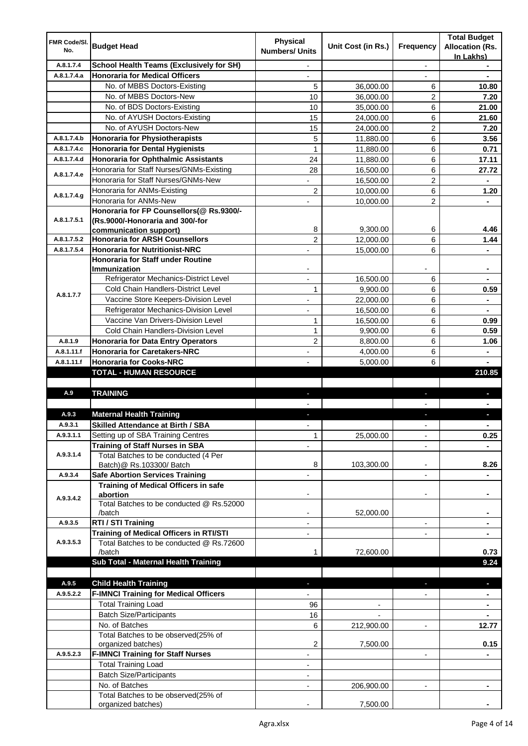|                     |                                                 |                                          |                    |                          | <b>Total Budget</b>    |
|---------------------|-------------------------------------------------|------------------------------------------|--------------------|--------------------------|------------------------|
| FMR Code/SI.<br>No. | <b>Budget Head</b>                              | <b>Physical</b><br><b>Numbers/ Units</b> | Unit Cost (in Rs.) | Frequency                | <b>Allocation (Rs.</b> |
|                     |                                                 |                                          |                    |                          | In Lakhs)              |
| A.8.1.7.4           | <b>School Health Teams (Exclusively for SH)</b> |                                          |                    |                          |                        |
| A.8.1.7.4.a         | <b>Honoraria for Medical Officers</b>           |                                          |                    |                          |                        |
|                     | No. of MBBS Doctors-Existing                    | 5                                        | 36,000.00          | 6                        | 10.80                  |
|                     | No. of MBBS Doctors-New                         | 10                                       | 36,000.00          | 2                        | 7.20                   |
|                     | No. of BDS Doctors-Existing                     | 10                                       | 35,000.00          | 6                        | 21.00                  |
|                     | No. of AYUSH Doctors-Existing                   | 15                                       | 24,000.00          | 6                        | 21.60                  |
|                     | No. of AYUSH Doctors-New                        | 15                                       | 24,000.00          | 2                        | 7.20                   |
| A.8.1.7.4.b         | <b>Honoraria for Physiotherapists</b>           | 5                                        | 11,880.00          | 6                        | 3.56                   |
| A.8.1.7.4.c         | <b>Honoraria for Dental Hygienists</b>          | $\mathbf{1}$                             | 11,880.00          | 6                        | 0.71                   |
| A.8.1.7.4.d         | <b>Honoraria for Ophthalmic Assistants</b>      | 24                                       | 11,880.00          | 6                        | 17.11                  |
|                     | Honoraria for Staff Nurses/GNMs-Existing        | 28                                       | 16,500.00          | 6                        | 27.72                  |
| A.8.1.7.4.e         | Honoraria for Staff Nurses/GNMs-New             |                                          | 16,500.00          | $\overline{c}$           |                        |
|                     | Honoraria for ANMs-Existing                     | $\overline{2}$                           | 10,000.00          | 6                        | 1.20                   |
| A.8.1.7.4.g         | Honoraria for ANMs-New                          |                                          | 10,000.00          | 2                        |                        |
|                     | Honoraria for FP Counsellors(@ Rs.9300/-        |                                          |                    |                          |                        |
| A.8.1.7.5.1         | (Rs.9000/-Honoraria and 300/-for                |                                          |                    |                          |                        |
|                     | communication support)                          | 8                                        | 9,300.00           | 6                        | 4.46                   |
| A.8.1.7.5.2         | <b>Honoraria for ARSH Counsellors</b>           | $\overline{c}$                           | 12,000.00          | 6                        | 1.44                   |
| A.8.1.7.5.4         | <b>Honoraria for Nutritionist-NRC</b>           |                                          | 15,000.00          | 6                        |                        |
|                     | Honoraria for Staff under Routine               |                                          |                    |                          |                        |
|                     | Immunization                                    |                                          |                    |                          |                        |
|                     | Refrigerator Mechanics-District Level           |                                          | 16,500.00          | 6                        |                        |
|                     | Cold Chain Handlers-District Level              | $\mathbf{1}$                             | 9,900.00           | 6                        | 0.59                   |
| A.8.1.7.7           | Vaccine Store Keepers-Division Level            |                                          | 22,000.00          | 6                        |                        |
|                     | Refrigerator Mechanics-Division Level           | $\overline{\phantom{0}}$                 | 16,500.00          | 6                        | ۰                      |
|                     | Vaccine Van Drivers-Division Level              | 1                                        | 16,500.00          | 6                        | 0.99                   |
|                     | Cold Chain Handlers-Division Level              | 1                                        | 9,900.00           | 6                        | 0.59                   |
| A.8.1.9             | <b>Honoraria for Data Entry Operators</b>       | $\overline{2}$                           | 8,800.00           | 6                        | 1.06                   |
| A.8.1.11.f          | <b>Honoraria for Caretakers-NRC</b>             | $\overline{\phantom{a}}$                 | 4,000.00           | 6                        | $\blacksquare$         |
| A.8.1.11.f          | <b>Honoraria for Cooks-NRC</b>                  |                                          | 5,000.00           | 6                        |                        |
|                     | TOTAL - HUMAN RESOURCE                          |                                          |                    |                          | 210.85                 |
|                     |                                                 |                                          |                    |                          |                        |
| A.9                 | <b>TRAINING</b>                                 | ٠                                        |                    | ٠                        |                        |
|                     |                                                 |                                          |                    |                          |                        |
| A.9.3               | <b>Maternal Health Training</b>                 |                                          |                    |                          |                        |
| A.9.3.1             | <b>Skilled Attendance at Birth / SBA</b>        |                                          |                    |                          |                        |
| A.9.3.1.1           | Setting up of SBA Training Centres              | $\mathbf{1}$                             | 25,000.00          |                          | 0.25                   |
|                     | <b>Training of Staff Nurses in SBA</b>          |                                          |                    |                          |                        |
| A.9.3.1.4           | Total Batches to be conducted (4 Per            |                                          |                    |                          |                        |
|                     | Batch)@ Rs.103300/ Batch                        | 8                                        | 103,300.00         |                          | 8.26                   |
| A.9.3.4             | <b>Safe Abortion Services Training</b>          |                                          |                    | $\overline{\phantom{a}}$ |                        |
|                     | Training of Medical Officers in safe            |                                          |                    |                          |                        |
|                     | abortion                                        |                                          |                    | $\overline{a}$           |                        |
| A.9.3.4.2           | Total Batches to be conducted @ Rs.52000        |                                          |                    |                          |                        |
|                     | /batch                                          |                                          | 52,000.00          |                          |                        |
| A.9.3.5             | RTI / STI Training                              |                                          |                    | $\overline{\phantom{0}}$ |                        |
|                     | Training of Medical Officers in RTI/STI         |                                          |                    |                          |                        |
| A.9.3.5.3           | Total Batches to be conducted @ Rs.72600        |                                          |                    |                          |                        |
|                     | /batch                                          | 1                                        | 72,600.00          |                          | 0.73                   |
|                     | Sub Total - Maternal Health Training            |                                          |                    |                          | 9.24                   |
|                     |                                                 |                                          |                    |                          |                        |
| A.9.5               | <b>Child Health Training</b>                    |                                          |                    |                          |                        |
| A.9.5.2.2           | <b>F-IMNCI Training for Medical Officers</b>    |                                          |                    |                          |                        |
|                     | <b>Total Training Load</b>                      | 96                                       |                    |                          |                        |
|                     | <b>Batch Size/Participants</b>                  | 16                                       |                    |                          |                        |
|                     | No. of Batches                                  | 6                                        | 212,900.00         | $\overline{\phantom{a}}$ | 12.77                  |
|                     | Total Batches to be observed(25% of             |                                          |                    |                          |                        |
|                     | organized batches)                              | 2                                        | 7,500.00           |                          | 0.15                   |
| A.9.5.2.3           | <b>F-IMNCI Training for Staff Nurses</b>        | $\overline{a}$                           |                    | $\overline{\phantom{a}}$ |                        |
|                     | <b>Total Training Load</b>                      | $\overline{\phantom{a}}$                 |                    |                          |                        |
|                     | <b>Batch Size/Participants</b>                  |                                          |                    |                          |                        |
|                     | No. of Batches                                  | $\overline{\phantom{a}}$                 | 206,900.00         | $\blacksquare$           | $\blacksquare$         |
|                     | Total Batches to be observed(25% of             |                                          |                    |                          |                        |
|                     | organized batches)                              |                                          | 7,500.00           |                          |                        |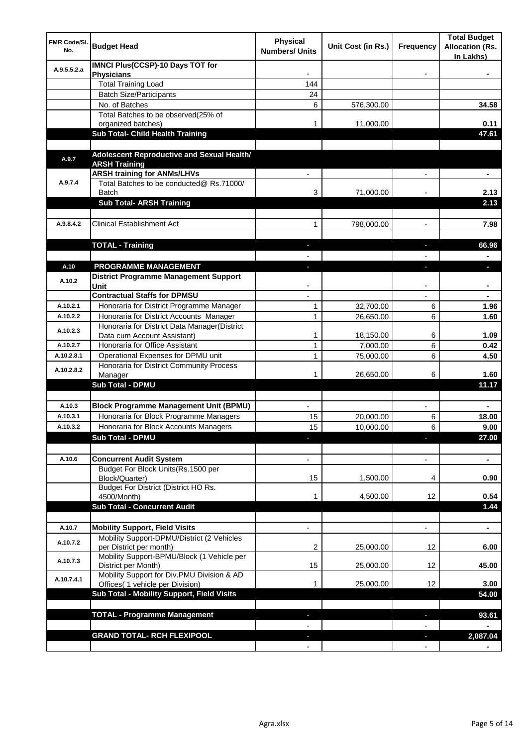| FMR Code/SI.<br>No. | <b>Budget Head</b>                                                             | Physical<br><b>Numbers/ Units</b> | Unit Cost (in Rs.) | Frequency      | <b>Total Budget</b><br><b>Allocation (Rs.</b><br>In Lakhs) |
|---------------------|--------------------------------------------------------------------------------|-----------------------------------|--------------------|----------------|------------------------------------------------------------|
| A.9.5.5.2.a         | <b>IMNCI Plus(CCSP)-10 Days TOT for</b><br><b>Physicians</b>                   |                                   |                    |                |                                                            |
|                     | <b>Total Training Load</b>                                                     | 144                               |                    |                |                                                            |
|                     | <b>Batch Size/Participants</b>                                                 | 24                                |                    |                |                                                            |
|                     | No. of Batches                                                                 | 6                                 | 576,300.00         |                | 34.58                                                      |
|                     | Total Batches to be observed(25% of                                            |                                   |                    |                |                                                            |
|                     | organized batches)                                                             | 1                                 | 11,000.00          |                | 0.11                                                       |
|                     | Sub Total- Child Health Training                                               |                                   |                    |                | 47.61                                                      |
|                     |                                                                                |                                   |                    |                |                                                            |
| A.9.7               | Adolescent Reproductive and Sexual Health/<br><b>ARSH Training</b>             |                                   |                    |                |                                                            |
|                     | <b>ARSH training for ANMs/LHVs</b>                                             |                                   |                    |                | ٠                                                          |
| A.9.7.4             | Total Batches to be conducted@ Rs.71000/                                       |                                   |                    |                |                                                            |
|                     | Batch                                                                          | 3                                 | 71,000.00          |                | 2.13                                                       |
|                     | <b>Sub Total- ARSH Training</b>                                                |                                   |                    |                | 2.13                                                       |
|                     |                                                                                |                                   |                    |                |                                                            |
| A.9.8.4.2           | <b>Clinical Establishment Act</b>                                              | 1                                 | 798,000.00         | $\blacksquare$ | 7.98                                                       |
|                     |                                                                                |                                   |                    |                |                                                            |
|                     | <b>TOTAL - Training</b>                                                        | $\blacksquare$                    |                    | ٠              | 66.96                                                      |
|                     |                                                                                |                                   |                    |                |                                                            |
| A.10                | PROGRAMME MANAGEMENT                                                           | $\blacksquare$                    |                    | J,             | $\overline{\phantom{a}}$                                   |
| A.10.2              | <b>District Programme Management Support</b><br>Unit                           |                                   |                    |                |                                                            |
|                     | <b>Contractual Staffs for DPMSU</b>                                            |                                   |                    |                |                                                            |
| A.10.2.1            | Honoraria for District Programme Manager                                       | 1                                 | 32,700.00          | 6              | 1.96                                                       |
| A.10.2.2            | Honoraria for District Accounts Manager                                        | $\mathbf{1}$                      | 26,650.00          | 6              | 1.60                                                       |
| A.10.2.3            | Honoraria for District Data Manager(District<br>Data cum Account Assistant)    | 1                                 | 18,150.00          | 6              | 1.09                                                       |
| A.10.2.7            | Honoraria for Office Assistant                                                 | 1                                 | 7,000.00           | 6              | 0.42                                                       |
| A.10.2.8.1          | Operational Expenses for DPMU unit                                             | 1                                 | 75,000.00          | 6              | 4.50                                                       |
|                     | Honoraria for District Community Process                                       |                                   |                    |                |                                                            |
| A.10.2.8.2          | Manager                                                                        | 1                                 | 26,650.00          | 6              | 1.60                                                       |
|                     | <b>Sub Total - DPMU</b>                                                        |                                   |                    |                | 11.17                                                      |
|                     |                                                                                |                                   |                    |                |                                                            |
| A.10.3              | <b>Block Programme Management Unit (BPMU)</b>                                  |                                   |                    |                |                                                            |
| A.10.3.1            | Honoraria for Block Programme Managers                                         | 15                                | 20,000.00          | 6              | 18.00                                                      |
| A.10.3.2            | Honoraria for Block Accounts Managers                                          | 15                                | 10,000.00          | 6              | 9.00                                                       |
|                     | <b>Sub Total - DPMU</b>                                                        |                                   |                    |                | 27.00                                                      |
|                     |                                                                                |                                   |                    |                |                                                            |
| A.10.6              | <b>Concurrent Audit System</b>                                                 |                                   |                    |                |                                                            |
|                     | Budget For Block Units(Rs.1500 per<br>Block/Quarter)                           | 15                                | 1,500.00           | 4              | 0.90                                                       |
|                     | Budget For District (District HO Rs.                                           |                                   |                    |                |                                                            |
|                     | 4500/Month)                                                                    | 1                                 | 4,500.00           | 12             | 0.54                                                       |
|                     | <b>Sub Total - Concurrent Audit</b>                                            |                                   |                    |                | 1.44                                                       |
|                     |                                                                                |                                   |                    |                |                                                            |
| A.10.7              | <b>Mobility Support, Field Visits</b>                                          |                                   |                    | $\overline{a}$ | ٠                                                          |
| A.10.7.2            | Mobility Support-DPMU/District (2 Vehicles<br>per District per month)          | 2                                 | 25,000.00          | 12             | 6.00                                                       |
| A.10.7.3            | Mobility Support-BPMU/Block (1 Vehicle per<br>District per Month)              | 15                                | 25,000.00          | 12             | 45.00                                                      |
| A.10.7.4.1          | Mobility Support for Div.PMU Division & AD<br>Offices( 1 vehicle per Division) | 1                                 | 25,000.00          | 12             | 3.00                                                       |
|                     | Sub Total - Mobility Support, Field Visits                                     |                                   |                    |                | 54.00                                                      |
|                     | <b>TOTAL - Programme Management</b>                                            |                                   |                    |                | 93.61                                                      |
|                     |                                                                                |                                   |                    |                |                                                            |
|                     | <b>GRAND TOTAL- RCH FLEXIPOOL</b>                                              |                                   |                    |                | 2,087.04                                                   |
|                     |                                                                                |                                   |                    |                |                                                            |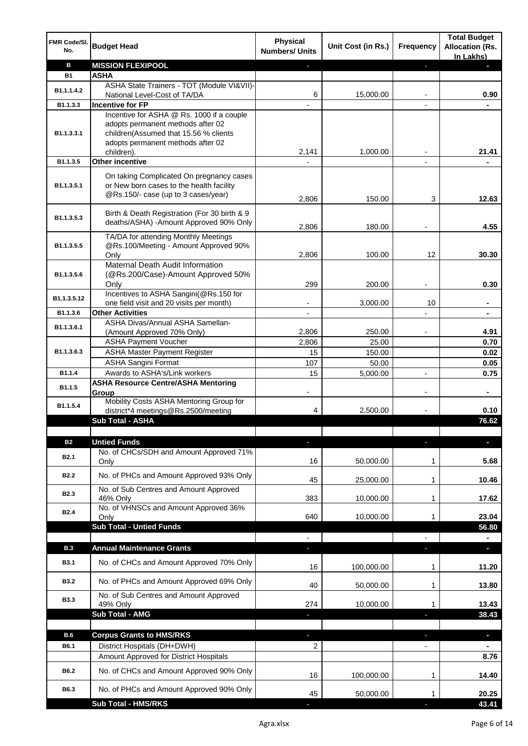| FMR Code/SI.<br>No. | <b>Budget Head</b>                                                                                                          | <b>Physical</b><br><b>Numbers/ Units</b> | Unit Cost (in Rs.) | Frequency      | <b>Total Budget</b><br><b>Allocation (Rs.</b><br>In Lakhs) |
|---------------------|-----------------------------------------------------------------------------------------------------------------------------|------------------------------------------|--------------------|----------------|------------------------------------------------------------|
| в                   | <b>MISSION FLEXIPOOL</b>                                                                                                    |                                          |                    | P.             | E.                                                         |
| <b>B1</b>           | <b>ASHA</b>                                                                                                                 |                                          |                    |                |                                                            |
| B1.1.1.4.2          | ASHA State Trainers - TOT (Module VI&VII)-                                                                                  |                                          |                    |                |                                                            |
|                     | National Level-Cost of TA/DA                                                                                                | 6                                        | 15,000.00          |                | 0.90                                                       |
| B1.1.3.3            | <b>Incentive for FP</b><br>Incentive for ASHA @ Rs. 1000 if a couple                                                        |                                          |                    |                |                                                            |
|                     | adopts permanent methods after 02                                                                                           |                                          |                    |                |                                                            |
| B1.1.3.3.1          | children(Assumed that 15.56 % clients                                                                                       |                                          |                    |                |                                                            |
|                     | adopts permanent methods after 02                                                                                           |                                          |                    |                |                                                            |
|                     | children).                                                                                                                  | 2,141                                    | 1,000.00           |                | 21.41                                                      |
| B1.1.3.5            | <b>Other incentive</b>                                                                                                      |                                          |                    |                |                                                            |
| B1.1.3.5.1          | On taking Complicated On pregnancy cases<br>or New born cases to the health facility<br>@Rs.150/- case (up to 3 cases/year) |                                          |                    |                |                                                            |
|                     |                                                                                                                             | 2,806                                    | 150.00             | 3              | 12.63                                                      |
| B1.1.3.5.3          | Birth & Death Registration (For 30 birth & 9<br>deaths/ASHA) - Amount Approved 90% Only                                     | 2,806                                    | 180.00             |                | 4.55                                                       |
|                     | TA/DA for attending Monthly Meetings                                                                                        |                                          |                    |                |                                                            |
| B1.1.3.5.5          | @Rs.100/Meeting - Amount Approved 90%<br>Only                                                                               | 2,806                                    | 100.00             | 12             | 30.30                                                      |
|                     | Maternal Death Audit Information                                                                                            |                                          |                    |                |                                                            |
| B1.1.3.5.6          | (@Rs.200/Case)-Amount Approved 50%                                                                                          | 299                                      | 200.00             | $\blacksquare$ | 0.30                                                       |
|                     | Only<br>Incentives to ASHA Sangini(@Rs.150 for                                                                              |                                          |                    |                |                                                            |
| B1.1.3.5.12         | one field visit and 20 visits per month)                                                                                    |                                          | 3,000.00           | 10             |                                                            |
| B1.1.3.6            | <b>Other Activities</b>                                                                                                     |                                          |                    |                | $\blacksquare$                                             |
| B1.1.3.6.1          | ASHA Divas/Annual ASHA Samellan-                                                                                            |                                          |                    |                |                                                            |
|                     | (Amount Approved 70% Only)                                                                                                  | 2,806                                    | 250.00             |                | 4.91                                                       |
|                     | <b>ASHA Payment Voucher</b>                                                                                                 | 2,806                                    | 25.00              |                | 0.70                                                       |
| B1.1.3.6.3          | <b>ASHA Master Payment Register</b>                                                                                         | 15                                       | 150.00             |                | 0.02                                                       |
|                     | <b>ASHA Sangini Format</b>                                                                                                  | 107                                      | 50.00              |                | 0.05                                                       |
| B1.1.4              | Awards to ASHA's/Link workers                                                                                               | 15                                       | 5,000.00           | $\blacksquare$ | 0.75                                                       |
| B1.1.5              | <b>ASHA Resource Centre/ASHA Mentoring</b><br>Group<br>Mobility Costs ASHA Mentoring Group for                              |                                          |                    |                |                                                            |
| B1.1.5.4            | district*4 meetings@Rs.2500/meeting                                                                                         | 4                                        | 2,500.00           |                | 0.10                                                       |
|                     | <b>Sub Total - ASHA</b>                                                                                                     |                                          |                    |                | 76.62                                                      |
|                     |                                                                                                                             |                                          |                    |                |                                                            |
| <b>B2</b>           | <b>Untied Funds</b>                                                                                                         | L                                        |                    | ı              | $\blacksquare$                                             |
| B <sub>2.1</sub>    | No. of CHCs/SDH and Amount Approved 71%                                                                                     |                                          |                    |                |                                                            |
|                     | Only                                                                                                                        | 16                                       | 50,000.00          | 1              | 5.68                                                       |
| <b>B2.2</b>         | No. of PHCs and Amount Approved 93% Only                                                                                    |                                          |                    |                |                                                            |
|                     | No. of Sub Centres and Amount Approved                                                                                      | 45                                       | 25,000.00          | 1              | 10.46                                                      |
| B <sub>2.3</sub>    | 46% Only                                                                                                                    | 383                                      | 10,000.00          | 1              | 17.62                                                      |
|                     | No. of VHNSCs and Amount Approved 36%                                                                                       |                                          |                    |                |                                                            |
| B <sub>2.4</sub>    | Only                                                                                                                        | 640                                      | 10,000.00          | 1              | 23.04                                                      |
|                     | <b>Sub Total - Untied Funds</b>                                                                                             |                                          |                    |                | 56.80                                                      |
|                     |                                                                                                                             |                                          |                    |                |                                                            |
| B.3                 | <b>Annual Maintenance Grants</b>                                                                                            |                                          |                    |                | ٠                                                          |
| <b>B3.1</b>         | No. of CHCs and Amount Approved 70% Only                                                                                    | 16                                       | 100,000.00         | 1              | 11.20                                                      |
| <b>B3.2</b>         | No. of PHCs and Amount Approved 69% Only                                                                                    | 40                                       | 50,000.00          | 1              | 13.80                                                      |
| <b>B3.3</b>         | No. of Sub Centres and Amount Approved<br>49% Only                                                                          | 274                                      | 10,000.00          | 1              | 13.43                                                      |
|                     | Sub Total - AMG                                                                                                             |                                          |                    |                | 38.43                                                      |
|                     |                                                                                                                             |                                          |                    |                |                                                            |
| B.6                 | <b>Corpus Grants to HMS/RKS</b>                                                                                             | ٠                                        |                    | J,             | P.                                                         |
| B6.1                | District Hospitals (DH+DWH)                                                                                                 | $\overline{2}$                           |                    |                |                                                            |
|                     | Amount Approved for District Hospitals                                                                                      |                                          |                    |                | 8.76                                                       |
| B6.2                | No. of CHCs and Amount Approved 90% Only                                                                                    | 16                                       | 100,000.00         | 1              | 14.40                                                      |
| B6.3                | No. of PHCs and Amount Approved 90% Only                                                                                    | 45                                       | 50,000.00          | 1              | 20.25                                                      |
|                     | <b>Sub Total - HMS/RKS</b>                                                                                                  |                                          |                    |                | 43.41                                                      |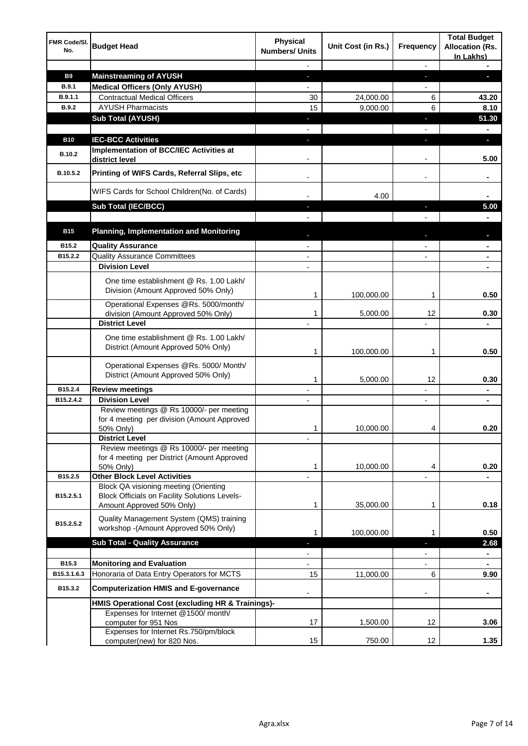| FMR Code/SI.<br>No. | <b>Budget Head</b>                                                                                                         | Physical<br><b>Numbers/ Units</b> | Unit Cost (in Rs.) | Frequency                | <b>Total Budget</b><br><b>Allocation (Rs.</b><br>In Lakhs) |
|---------------------|----------------------------------------------------------------------------------------------------------------------------|-----------------------------------|--------------------|--------------------------|------------------------------------------------------------|
|                     |                                                                                                                            |                                   |                    | $\overline{\phantom{a}}$ |                                                            |
| <b>B9</b>           | <b>Mainstreaming of AYUSH</b>                                                                                              | ÷.                                |                    | J,                       | T.                                                         |
| <b>B.9.1</b>        | <b>Medical Officers (Only AYUSH)</b>                                                                                       |                                   |                    | $\overline{a}$           |                                                            |
| B.9.1.1             | <b>Contractual Medical Officers</b>                                                                                        | 30                                | 24,000.00          | 6                        | 43.20                                                      |
| <b>B.9.2</b>        | <b>AYUSH Pharmacists</b>                                                                                                   | 15                                | 9,000.00           | 6                        | 8.10                                                       |
|                     | <b>Sub Total (AYUSH)</b>                                                                                                   | ٠                                 |                    | F                        | 51.30                                                      |
| <b>B10</b>          | <b>IEC-BCC Activities</b>                                                                                                  | a,                                |                    | J,                       | $\blacksquare$<br>٠                                        |
|                     | Implementation of BCC/IEC Activities at                                                                                    |                                   |                    |                          |                                                            |
| B.10.2              | district level                                                                                                             |                                   |                    | $\overline{\phantom{a}}$ | 5.00                                                       |
| B.10.5.2            | Printing of WIFS Cards, Referral Slips, etc                                                                                | $\overline{\phantom{a}}$          |                    | $\overline{\phantom{a}}$ | ۰                                                          |
|                     | WIFS Cards for School Children(No. of Cards)                                                                               |                                   | 4.00               |                          |                                                            |
|                     | Sub Total (IEC/BCC)                                                                                                        |                                   |                    | $\overline{\phantom{a}}$ | 5.00                                                       |
|                     |                                                                                                                            |                                   |                    |                          |                                                            |
| <b>B15</b>          | <b>Planning, Implementation and Monitoring</b>                                                                             |                                   |                    |                          |                                                            |
| B15.2               | <b>Quality Assurance</b>                                                                                                   | $\blacksquare$                    |                    | $\overline{\phantom{a}}$ | $\blacksquare$                                             |
| B15.2.2             | <b>Quality Assurance Committees</b>                                                                                        | $\overline{\phantom{a}}$          |                    | $\overline{\phantom{a}}$ | ٠                                                          |
|                     | <b>Division Level</b>                                                                                                      | $\blacksquare$                    |                    |                          | ٠                                                          |
|                     | One time establishment @ Rs. 1.00 Lakh/<br>Division (Amount Approved 50% Only)                                             |                                   |                    |                          |                                                            |
|                     |                                                                                                                            | 1                                 | 100,000.00         | 1                        | 0.50                                                       |
|                     | Operational Expenses @Rs. 5000/month/<br>division (Amount Approved 50% Only)                                               | 1                                 | 5,000.00           | 12                       | 0.30                                                       |
|                     | <b>District Level</b>                                                                                                      |                                   |                    |                          |                                                            |
|                     | One time establishment @ Rs. 1.00 Lakh/<br>District (Amount Approved 50% Only)                                             | 1                                 | 100,000.00         | 1                        | 0.50                                                       |
|                     | Operational Expenses @Rs. 5000/ Month/<br>District (Amount Approved 50% Only)                                              | 1                                 | 5,000.00           | 12                       | 0.30                                                       |
| B15.2.4             | <b>Review meetings</b>                                                                                                     | $\overline{a}$                    |                    | $\overline{a}$           | ۰                                                          |
| B15.2.4.2           | <b>Division Level</b>                                                                                                      | $\blacksquare$                    |                    | $\overline{\phantom{a}}$ | ٠                                                          |
|                     | Review meetings @ Rs 10000/- per meeting<br>for 4 meeting per division (Amount Approved<br>50% Only)                       | 1                                 | 10,000.00          |                          | 0.20                                                       |
|                     | <b>District Level</b>                                                                                                      |                                   |                    |                          |                                                            |
|                     | Review meetings @ Rs 10000/- per meeting<br>for 4 meeting per District (Amount Approved<br>50% Only)                       | 1                                 | 10,000.00          | 4                        | 0.20                                                       |
| B15.2.5             | <b>Other Block Level Activities</b>                                                                                        |                                   |                    |                          |                                                            |
| B15.2.5.1           | Block QA visioning meeting (Orienting<br><b>Block Officials on Facility Solutions Levels-</b><br>Amount Approved 50% Only) | 1                                 | 35,000.00          | 1                        | 0.18                                                       |
| B15.2.5.2           | Quality Management System (QMS) training<br>workshop - (Amount Approved 50% Only)                                          | 1                                 | 100,000.00         | 1                        | 0.50                                                       |
|                     | <b>Sub Total - Quality Assurance</b>                                                                                       | ٠                                 |                    | ٠                        | 2.68                                                       |
|                     |                                                                                                                            |                                   |                    |                          | $\blacksquare$                                             |
| B15.3               | <b>Monitoring and Evaluation</b>                                                                                           | $\overline{\phantom{a}}$          |                    | $\overline{\phantom{a}}$ | ۰                                                          |
| B15.3.1.6.3         | Honoraria of Data Entry Operators for MCTS                                                                                 | 15                                | 11,000.00          | 6                        | 9.90                                                       |
| B15.3.2             | <b>Computerization HMIS and E-governance</b>                                                                               |                                   |                    |                          |                                                            |
|                     | HMIS Operational Cost (excluding HR & Trainings)-                                                                          |                                   |                    |                          |                                                            |
|                     | Expenses for Internet @1500/month/<br>computer for 951 Nos                                                                 | 17                                | 1,500.00           | 12                       | 3.06                                                       |
|                     | Expenses for Internet Rs.750/pm/block<br>computer(new) for 820 Nos.                                                        | 15                                | 750.00             | 12                       | 1.35                                                       |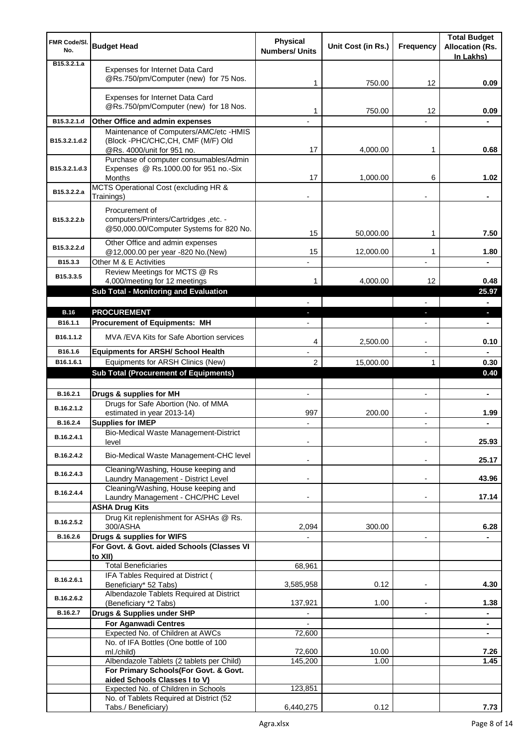| <b>FMR Code/SI.</b><br>No.   | <b>Budget Head</b>                                                                                 | Physical<br><b>Numbers/ Units</b> | Unit Cost (in Rs.) | Frequency                | <b>Total Budget</b><br><b>Allocation (Rs.</b> |
|------------------------------|----------------------------------------------------------------------------------------------------|-----------------------------------|--------------------|--------------------------|-----------------------------------------------|
| B <sub>15</sub> , 3, 2, 1, a |                                                                                                    |                                   |                    |                          | In Lakhs)                                     |
|                              | Expenses for Internet Data Card<br>@Rs.750/pm/Computer (new) for 75 Nos.                           | 1                                 | 750.00             | 12                       | 0.09                                          |
|                              | Expenses for Internet Data Card<br>@Rs.750/pm/Computer (new) for 18 Nos.                           | 1                                 | 750.00             | 12                       | 0.09                                          |
| B15.3.2.1.d                  | Other Office and admin expenses                                                                    |                                   |                    |                          |                                               |
|                              | Maintenance of Computers/AMC/etc -HMIS                                                             |                                   |                    |                          |                                               |
| B15.3.2.1.d.2                | (Block -PHC/CHC, CH, CMF (M/F) Old<br>@Rs. 4000/unit for 951 no.                                   | 17                                | 4,000.00           | 1                        | 0.68                                          |
| B15.3.2.1.d.3                | Purchase of computer consumables/Admin<br>Expenses @ Rs.1000.00 for 951 no.-Six<br>Months          | 17                                | 1,000.00           | 6                        | 1.02                                          |
| B15.3.2.2.a                  | MCTS Operational Cost (excluding HR &<br>Trainings)                                                |                                   |                    |                          |                                               |
| B15.3.2.2.b                  | Procurement of<br>computers/Printers/Cartridges, etc. -<br>@50,000.00/Computer Systems for 820 No. | 15                                | 50,000.00          | 1                        | 7.50                                          |
| B15.3.2.2.d                  | Other Office and admin expenses<br>@12,000.00 per year -820 No.(New)                               | 15                                | 12,000.00          | 1                        | 1.80                                          |
| B15.3.3                      | Other M & E Activities                                                                             |                                   |                    |                          |                                               |
|                              | Review Meetings for MCTS @ Rs                                                                      |                                   |                    |                          |                                               |
| B15.3.3.5                    | 4,000/meeting for 12 meetings                                                                      | 1                                 | 4,000.00           | 12                       | 0.48                                          |
|                              | <b>Sub Total - Monitoring and Evaluation</b>                                                       |                                   |                    |                          | 25.97                                         |
|                              |                                                                                                    |                                   |                    |                          |                                               |
| <b>B.16</b><br>B16.1.1       | <b>PROCUREMENT</b>                                                                                 |                                   |                    | $\overline{\phantom{a}}$ | ٠                                             |
|                              | <b>Procurement of Equipments: MH</b>                                                               |                                   |                    |                          | $\blacksquare$                                |
| B <sub>16.1</sub> .1.2       | MVA /EVA Kits for Safe Abortion services                                                           | 4                                 | 2,500.00           | $\overline{a}$           | 0.10                                          |
| B16.1.6                      | <b>Equipments for ARSH/ School Health</b>                                                          |                                   |                    | $\overline{\phantom{a}}$ |                                               |
| B16.1.6.1                    | Equipments for ARSH Clinics (New)                                                                  | $\overline{2}$                    | 15,000.00          | 1                        | 0.30                                          |
|                              | <b>Sub Total (Procurement of Equipments)</b>                                                       |                                   |                    |                          | 0.40                                          |
| B.16.2.1                     | Drugs & supplies for MH                                                                            | $\overline{a}$                    |                    |                          | $\blacksquare$                                |
| B.16.2.1.2                   | Drugs for Safe Abortion (No. of MMA<br>estimated in year 2013-14)                                  | 997                               | 200.00             |                          | 1.99                                          |
| B.16.2.4                     | <b>Supplies for IMEP</b>                                                                           |                                   |                    |                          |                                               |
| B.16.2.4.1                   | Bio-Medical Waste Management-District<br>level                                                     |                                   |                    |                          | 25.93                                         |
| B.16.2.4.2                   | Bio-Medical Waste Management-CHC level                                                             |                                   |                    |                          | 25.17                                         |
| B.16.2.4.3                   | Cleaning/Washing, House keeping and<br>Laundry Management - District Level                         |                                   |                    | $\blacksquare$           | 43.96                                         |
| B.16.2.4.4                   | Cleaning/Washing, House keeping and<br>Laundry Management - CHC/PHC Level                          |                                   |                    |                          | 17.14                                         |
|                              | <b>ASHA Drug Kits</b><br>Drug Kit replenishment for ASHAs @ Rs.                                    |                                   |                    |                          |                                               |
| B.16.2.5.2<br>B.16.2.6       | 300/ASHA<br>Drugs & supplies for WIFS                                                              | 2,094                             | 300.00             | $\overline{a}$           | 6.28                                          |
|                              | For Govt. & Govt. aided Schools (Classes VI<br>to XII)                                             |                                   |                    |                          |                                               |
|                              | <b>Total Beneficiaries</b>                                                                         | 68,961                            |                    |                          |                                               |
| B.16.2.6.1                   | IFA Tables Required at District (<br>Beneficiary* 52 Tabs)                                         | 3,585,958                         | 0.12               |                          | 4.30                                          |
| B.16.2.6.2                   | Albendazole Tablets Required at District<br>(Beneficiary *2 Tabs)                                  | 137,921                           | 1.00               | $\blacksquare$           | 1.38                                          |
| B.16.2.7                     | Drugs & Supplies under SHP                                                                         | $\overline{\phantom{a}}$          |                    | $\overline{\phantom{a}}$ | $\blacksquare$                                |
|                              | <b>For Aganwadi Centres</b>                                                                        | $\blacksquare$                    |                    |                          | $\blacksquare$                                |
|                              | Expected No. of Children at AWCs                                                                   | 72,600                            |                    |                          | ٠                                             |
|                              | No. of IFA Bottles (One bottle of 100                                                              |                                   | 10.00              |                          | 7.26                                          |
|                              | ml./child)<br>Albendazole Tablets (2 tablets per Child)                                            | 72,600<br>145,200                 | 1.00               |                          | 1.45                                          |
|                              | For Primary Schools(For Govt. & Govt.                                                              |                                   |                    |                          |                                               |
|                              | aided Schools Classes I to V)                                                                      |                                   |                    |                          |                                               |
|                              | Expected No. of Children in Schools<br>No. of Tablets Required at District (52                     | 123,851                           |                    |                          |                                               |
|                              | Tabs./ Beneficiary)                                                                                | 6,440,275                         | 0.12               |                          | 7.73                                          |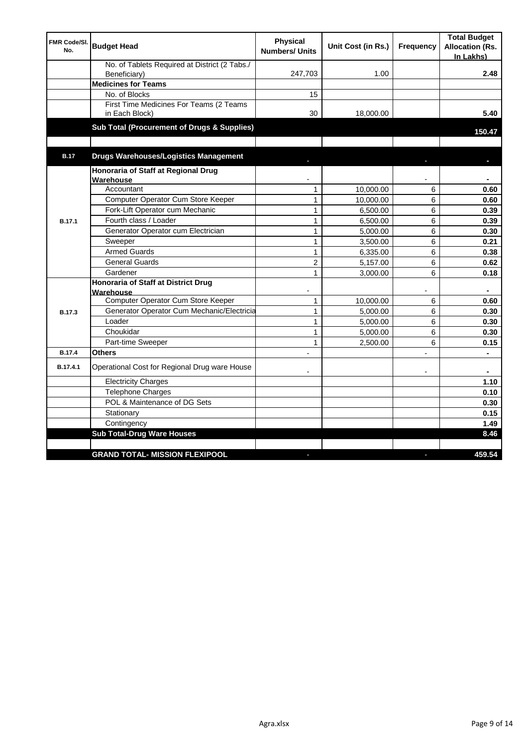| <b>FMR Code/SI.</b><br>No. | <b>Budget Head</b>                                        | <b>Physical</b><br><b>Numbers/ Units</b> | Unit Cost (in Rs.) | Frequency | <b>Total Budget</b><br><b>Allocation (Rs.</b><br>In Lakhs) |
|----------------------------|-----------------------------------------------------------|------------------------------------------|--------------------|-----------|------------------------------------------------------------|
|                            | No. of Tablets Required at District (2 Tabs./             |                                          |                    |           |                                                            |
|                            | Beneficiary)                                              | 247,703                                  | 1.00               |           | 2.48                                                       |
|                            | <b>Medicines for Teams</b>                                |                                          |                    |           |                                                            |
|                            | No. of Blocks                                             | 15                                       |                    |           |                                                            |
|                            | First Time Medicines For Teams (2 Teams<br>in Each Block) | 30                                       | 18,000.00          |           | 5.40                                                       |
|                            | Sub Total (Procurement of Drugs & Supplies)               |                                          |                    |           | 150.47                                                     |
| <b>B.17</b>                | <b>Drugs Warehouses/Logistics Management</b>              |                                          |                    |           |                                                            |
|                            | Honoraria of Staff at Regional Drug<br>Warehouse          |                                          |                    |           |                                                            |
|                            | Accountant                                                | $\mathbf{1}$                             | 10,000.00          | 6         | 0.60                                                       |
|                            | Computer Operator Cum Store Keeper                        | $\mathbf{1}$                             | 10,000.00          | 6         | 0.60                                                       |
|                            | Fork-Lift Operator cum Mechanic                           | 1                                        | 6,500.00           | 6         | 0.39                                                       |
| <b>B.17.1</b>              | Fourth class / Loader                                     | $\mathbf{1}$                             | 6,500.00           | 6         | 0.39                                                       |
|                            | Generator Operator cum Electrician                        | $\mathbf{1}$                             | 5,000.00           | 6         | 0.30                                                       |
|                            | Sweeper                                                   | $\mathbf{1}$                             | 3,500.00           | 6         | 0.21                                                       |
|                            | <b>Armed Guards</b>                                       | $\mathbf{1}$                             | 6,335.00           | 6         | 0.38                                                       |
|                            | <b>General Guards</b>                                     | $\overline{c}$                           | 5,157.00           | 6         | 0.62                                                       |
|                            | Gardener                                                  | $\mathbf{1}$                             | 3,000.00           | 6         | 0.18                                                       |
|                            | <b>Honoraria of Staff at District Drug</b><br>Warehouse   |                                          |                    |           |                                                            |
|                            | Computer Operator Cum Store Keeper                        | $\mathbf{1}$                             | 10,000.00          | 6         | 0.60                                                       |
| <b>B.17.3</b>              | Generator Operator Cum Mechanic/Electricia                | $\mathbf{1}$                             | 5,000.00           | 6         | 0.30                                                       |
|                            | Loader                                                    | $\mathbf{1}$                             | 5,000.00           | 6         | 0.30                                                       |
|                            | Choukidar                                                 | $\mathbf{1}$                             | 5,000.00           | 6         | 0.30                                                       |
|                            | Part-time Sweeper                                         | 1                                        | 2,500.00           | 6         | 0.15                                                       |
| <b>B.17.4</b>              | <b>Others</b>                                             |                                          |                    |           | $\blacksquare$                                             |
| B.17.4.1                   | Operational Cost for Regional Drug ware House             |                                          |                    | ٠         |                                                            |
|                            | <b>Electricity Charges</b>                                |                                          |                    |           | 1.10                                                       |
|                            | <b>Telephone Charges</b>                                  |                                          |                    |           | 0.10                                                       |
|                            | POL & Maintenance of DG Sets                              |                                          |                    |           | 0.30                                                       |
|                            | Stationary                                                |                                          |                    |           | 0.15                                                       |
|                            | Contingency                                               |                                          |                    |           | 1.49                                                       |
|                            | <b>Sub Total-Drug Ware Houses</b>                         |                                          |                    |           | 8.46                                                       |
|                            |                                                           |                                          |                    |           |                                                            |
|                            | <b>GRAND TOTAL- MISSION FLEXIPOOL</b>                     |                                          |                    |           | 459.54                                                     |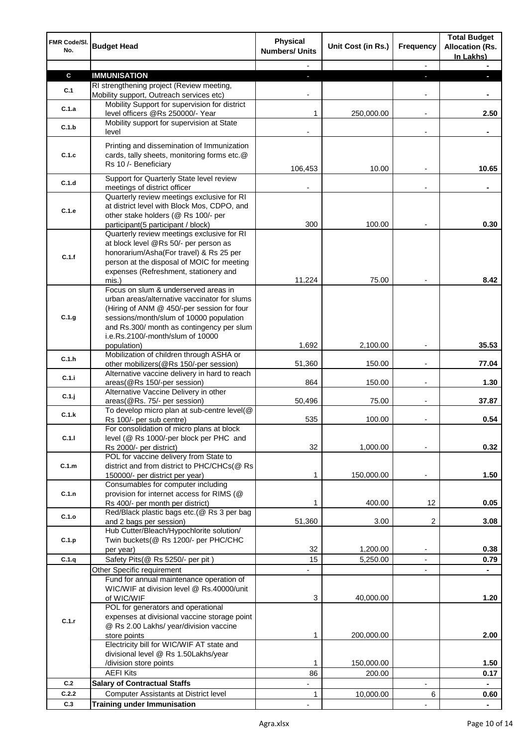| FMR Code/SI.<br>No. | <b>Budget Head</b>                                                                         | <b>Physical</b><br><b>Numbers/ Units</b> | Unit Cost (in Rs.)   | Frequency                                            | <b>Total Budget</b><br><b>Allocation (Rs.</b><br>In Lakhs) |
|---------------------|--------------------------------------------------------------------------------------------|------------------------------------------|----------------------|------------------------------------------------------|------------------------------------------------------------|
|                     |                                                                                            |                                          |                      |                                                      |                                                            |
| $\mathbf c$         | <b>IMMUNISATION</b>                                                                        | $\overline{\phantom{a}}$                 |                      | P.                                                   |                                                            |
| C.1                 | RI strengthening project (Review meeting,                                                  |                                          |                      |                                                      |                                                            |
|                     | Mobility support, Outreach services etc)                                                   |                                          |                      |                                                      |                                                            |
| C.1.a               | Mobility Support for supervision for district<br>level officers @Rs 250000/- Year          | 1                                        | 250,000.00           | $\overline{a}$                                       | 2.50                                                       |
|                     | Mobility support for supervision at State                                                  |                                          |                      |                                                      |                                                            |
| C.1.b               | level                                                                                      |                                          |                      |                                                      |                                                            |
|                     | Printing and dissemination of Immunization                                                 |                                          |                      |                                                      |                                                            |
| C.1.c               | cards, tally sheets, monitoring forms etc.@                                                |                                          |                      |                                                      |                                                            |
|                     | Rs 10 /- Beneficiary                                                                       | 106,453                                  | 10.00                |                                                      | 10.65                                                      |
|                     | Support for Quarterly State level review                                                   |                                          |                      |                                                      |                                                            |
| C.1.d               | meetings of district officer                                                               |                                          |                      |                                                      |                                                            |
|                     | Quarterly review meetings exclusive for RI                                                 |                                          |                      |                                                      |                                                            |
| C.1.e               | at district level with Block Mos, CDPO, and                                                |                                          |                      |                                                      |                                                            |
|                     | other stake holders (@ Rs 100/- per                                                        |                                          |                      |                                                      |                                                            |
|                     | participant(5 participant / block)                                                         | 300                                      | 100.00               |                                                      | 0.30                                                       |
|                     | Quarterly review meetings exclusive for RI<br>at block level @Rs 50/- per person as        |                                          |                      |                                                      |                                                            |
|                     | honorarium/Asha(For travel) & Rs 25 per                                                    |                                          |                      |                                                      |                                                            |
| C.1.f               | person at the disposal of MOIC for meeting                                                 |                                          |                      |                                                      |                                                            |
|                     | expenses (Refreshment, stationery and                                                      |                                          |                      |                                                      |                                                            |
|                     | mis.)                                                                                      | 11,224                                   | 75.00                |                                                      | 8.42                                                       |
|                     | Focus on slum & underserved areas in                                                       |                                          |                      |                                                      |                                                            |
|                     | urban areas/alternative vaccinator for slums<br>(Hiring of ANM @ 450/-per session for four |                                          |                      |                                                      |                                                            |
| C.1.g               | sessions/month/slum of 10000 population                                                    |                                          |                      |                                                      |                                                            |
|                     | and Rs.300/ month as contingency per slum                                                  |                                          |                      |                                                      |                                                            |
|                     | i.e.Rs.2100/-month/slum of 10000                                                           |                                          |                      |                                                      |                                                            |
|                     | population)                                                                                | 1,692                                    | 2,100.00             |                                                      | 35.53                                                      |
| C.1.h               | Mobilization of children through ASHA or                                                   |                                          |                      |                                                      |                                                            |
|                     | other mobilizers(@Rs 150/-per session)<br>Alternative vaccine delivery in hard to reach    | 51,360                                   | 150.00               |                                                      | 77.04                                                      |
| C.1.i               | areas(@Rs 150/-per session)                                                                | 864                                      | 150.00               |                                                      | 1.30                                                       |
|                     | Alternative Vaccine Delivery in other                                                      |                                          |                      |                                                      |                                                            |
| C.1.j               | areas(@Rs. 75/- per session)                                                               | 50,496                                   | 75.00                | $\overline{\phantom{a}}$                             | 37.87                                                      |
| C.1.k               | To develop micro plan at sub-centre level(@                                                |                                          |                      |                                                      |                                                            |
|                     | Rs 100/- per sub centre)<br>For consolidation of micro plans at block                      | 535                                      | 100.00               |                                                      | 0.54                                                       |
| C.1.1               | level (@ Rs 1000/-per block per PHC and                                                    |                                          |                      |                                                      |                                                            |
|                     | Rs 2000/- per district)                                                                    | 32                                       | 1,000.00             |                                                      | 0.32                                                       |
|                     | POL for vaccine delivery from State to                                                     |                                          |                      |                                                      |                                                            |
| C.1.m               | district and from district to PHC/CHCs(@ Rs                                                |                                          |                      |                                                      |                                                            |
|                     | 150000/- per district per year)                                                            | 1                                        | 150,000.00           | $\overline{a}$                                       | 1.50                                                       |
| C.1.n               | Consumables for computer including<br>provision for internet access for RIMS (@            |                                          |                      |                                                      |                                                            |
|                     | Rs 400/- per month per district)                                                           | 1                                        | 400.00               | 12                                                   | 0.05                                                       |
|                     | Red/Black plastic bags etc.(@ Rs 3 per bag                                                 |                                          |                      |                                                      |                                                            |
| C.1.o               | and 2 bags per session)                                                                    | 51,360                                   | 3.00                 | 2                                                    | 3.08                                                       |
|                     | Hub Cutter/Bleach/Hypochlorite solution/                                                   |                                          |                      |                                                      |                                                            |
| C.1.p               | Twin buckets(@ Rs 1200/- per PHC/CHC                                                       |                                          |                      |                                                      | 0.38                                                       |
| C.1.q               | per year)<br>Safety Pits(@ Rs 5250/- per pit)                                              | 32<br>15                                 | 1,200.00<br>5,250.00 | $\overline{\phantom{a}}$<br>$\overline{\phantom{a}}$ | 0.79                                                       |
|                     | Other Specific requirement                                                                 |                                          |                      |                                                      |                                                            |
|                     | Fund for annual maintenance operation of                                                   |                                          |                      |                                                      |                                                            |
|                     | WIC/WIF at division level @ Rs.40000/unit                                                  |                                          |                      |                                                      |                                                            |
|                     | of WIC/WIF                                                                                 | 3                                        | 40,000.00            |                                                      | 1.20                                                       |
|                     | POL for generators and operational                                                         |                                          |                      |                                                      |                                                            |
| C.1.r               | expenses at divisional vaccine storage point                                               |                                          |                      |                                                      |                                                            |
|                     | @ Rs 2.00 Lakhs/ year/division vaccine<br>store points                                     | 1                                        | 200,000.00           |                                                      | 2.00                                                       |
|                     | Electricity bill for WIC/WIF AT state and                                                  |                                          |                      |                                                      |                                                            |
|                     | divisional level @ Rs 1.50Lakhs/year                                                       |                                          |                      |                                                      |                                                            |
|                     | /division store points                                                                     | 1                                        | 150,000.00           |                                                      | 1.50                                                       |
|                     | <b>AEFI Kits</b>                                                                           | 86                                       | 200.00               |                                                      | 0.17                                                       |
| C.2                 | <b>Salary of Contractual Staffs</b>                                                        | $\blacksquare$                           |                      | $\overline{\phantom{a}}$                             | $\blacksquare$                                             |
| C.2.2               | Computer Assistants at District level                                                      | 1                                        | 10,000.00            | 6                                                    | 0.60                                                       |
| C.3                 | <b>Training under Immunisation</b>                                                         |                                          |                      |                                                      | $\blacksquare$                                             |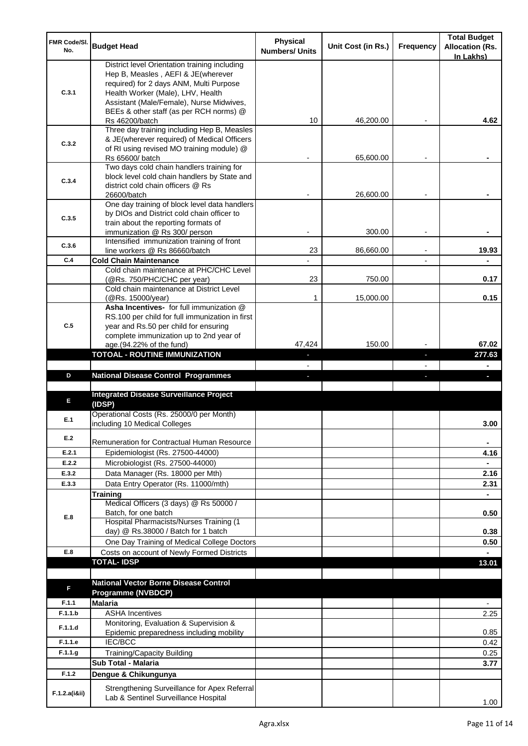| FMR Code/SI.<br>No. | <b>Budget Head</b>                                                                       | Physical<br><b>Numbers/ Units</b> | Unit Cost (in Rs.) | Frequency | <b>Total Budget</b><br><b>Allocation (Rs.</b> |
|---------------------|------------------------------------------------------------------------------------------|-----------------------------------|--------------------|-----------|-----------------------------------------------|
|                     | District level Orientation training including                                            |                                   |                    |           | In Lakhs)                                     |
|                     | Hep B, Measles, AEFI & JE(wherever                                                       |                                   |                    |           |                                               |
|                     | required) for 2 days ANM, Multi Purpose                                                  |                                   |                    |           |                                               |
| C.3.1               | Health Worker (Male), LHV, Health                                                        |                                   |                    |           |                                               |
|                     | Assistant (Male/Female), Nurse Midwives,<br>BEEs & other staff (as per RCH norms) @      |                                   |                    |           |                                               |
|                     | Rs 46200/batch                                                                           | 10                                | 46,200.00          |           | 4.62                                          |
|                     | Three day training including Hep B, Measles                                              |                                   |                    |           |                                               |
| C.3.2               | & JE(wherever required) of Medical Officers                                              |                                   |                    |           |                                               |
|                     | of RI using revised MO training module) @                                                |                                   |                    |           |                                               |
|                     | Rs 65600/ batch                                                                          |                                   | 65,600.00          |           |                                               |
|                     | Two days cold chain handlers training for                                                |                                   |                    |           |                                               |
| C.3.4               | block level cold chain handlers by State and<br>district cold chain officers @ Rs        |                                   |                    |           |                                               |
|                     | 26600/batch                                                                              |                                   | 26,600.00          |           |                                               |
|                     | One day training of block level data handlers                                            |                                   |                    |           |                                               |
| C.3.5               | by DIOs and District cold chain officer to                                               |                                   |                    |           |                                               |
|                     | train about the reporting formats of                                                     |                                   |                    |           |                                               |
|                     | immunization @ Rs 300/ person                                                            |                                   | 300.00             |           |                                               |
| C.3.6               | Intensified immunization training of front<br>line workers @ Rs 86660/batch              | 23                                | 86,660.00          |           | 19.93                                         |
| C.4                 | <b>Cold Chain Maintenance</b>                                                            |                                   |                    |           |                                               |
|                     | Cold chain maintenance at PHC/CHC Level                                                  |                                   |                    |           |                                               |
|                     | (@Rs. 750/PHC/CHC per year)                                                              | 23                                | 750.00             |           | 0.17                                          |
|                     | Cold chain maintenance at District Level                                                 |                                   |                    |           |                                               |
|                     | (@Rs. 15000/year)                                                                        | 1                                 | 15,000.00          |           | 0.15                                          |
|                     | Asha Incentives- for full immunization @                                                 |                                   |                    |           |                                               |
| C.5                 | RS.100 per child for full immunization in first<br>year and Rs.50 per child for ensuring |                                   |                    |           |                                               |
|                     | complete immunization up to 2nd year of                                                  |                                   |                    |           |                                               |
|                     | age.(94.22% of the fund)                                                                 | 47,424                            | 150.00             |           | 67.02                                         |
|                     | <b>TOTOAL - ROUTINE IMMUNIZATION</b>                                                     |                                   |                    |           | 277.63                                        |
|                     |                                                                                          |                                   |                    |           |                                               |
| D                   | <b>National Disease Control Programmes</b>                                               |                                   |                    |           |                                               |
|                     |                                                                                          |                                   |                    |           |                                               |
|                     |                                                                                          |                                   |                    |           |                                               |
| Е                   | <b>Integrated Disease Surveillance Project</b>                                           |                                   |                    |           |                                               |
|                     | (IDSP)                                                                                   |                                   |                    |           |                                               |
| E.1                 | Operational Costs (Rs. 25000/0 per Month)                                                |                                   |                    |           |                                               |
|                     | including 10 Medical Colleges                                                            |                                   |                    |           | 3.00                                          |
| E.2                 | Remuneration for Contractual Human Resource                                              |                                   |                    |           | ٠                                             |
| E.2.1               | Epidemiologist (Rs. 27500-44000)                                                         |                                   |                    |           | 4.16                                          |
| E.2.2               | Microbiologist (Rs. 27500-44000)                                                         |                                   |                    |           |                                               |
| E.3.2               | Data Manager (Rs. 18000 per Mth)                                                         |                                   |                    |           | 2.16                                          |
| E.3.3               | Data Entry Operator (Rs. 11000/mth)                                                      |                                   |                    |           | 2.31                                          |
|                     | Training                                                                                 |                                   |                    |           | ÷.                                            |
|                     | Medical Officers (3 days) @ Rs 50000 /                                                   |                                   |                    |           |                                               |
| E.8                 | Batch, for one batch                                                                     |                                   |                    |           | 0.50                                          |
|                     | Hospital Pharmacists/Nurses Training (1                                                  |                                   |                    |           |                                               |
|                     | day) @ Rs.38000 / Batch for 1 batch                                                      |                                   |                    |           | 0.38                                          |
| E.8                 | One Day Training of Medical College Doctors                                              |                                   |                    |           | 0.50                                          |
|                     | Costs on account of Newly Formed Districts<br><b>TOTAL-IDSP</b>                          |                                   |                    |           | 13.01                                         |
|                     |                                                                                          |                                   |                    |           |                                               |
| F                   | <b>National Vector Borne Disease Control</b>                                             |                                   |                    |           |                                               |
|                     | <b>Programme (NVBDCP)</b>                                                                |                                   |                    |           |                                               |
| F.1.1               | <b>Malaria</b>                                                                           |                                   |                    |           | $\overline{\phantom{0}}$                      |
| F.1.1.b             | <b>ASHA Incentives</b>                                                                   |                                   |                    |           | 2.25                                          |
| F.1.1.d             | Monitoring, Evaluation & Supervision &                                                   |                                   |                    |           | 0.85                                          |
| F.1.1.e             | Epidemic preparedness including mobility<br>IEC/BCC                                      |                                   |                    |           | 0.42                                          |
| F.1.1.g             |                                                                                          |                                   |                    |           | 0.25                                          |
|                     | <b>Training/Capacity Building</b><br><b>Sub Total - Malaria</b>                          |                                   |                    |           | 3.77                                          |
| F.1.2               | Dengue & Chikungunya                                                                     |                                   |                    |           |                                               |
|                     | Strengthening Surveillance for Apex Referral                                             |                                   |                    |           |                                               |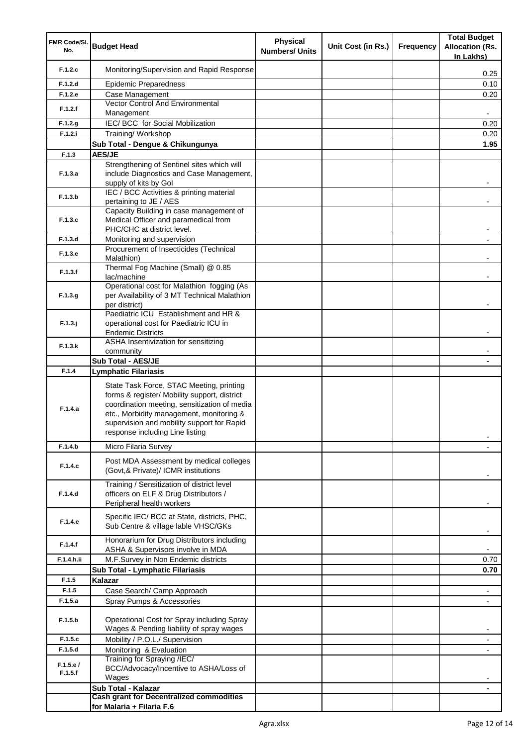| FMR Code/SI. |                                                                                            | <b>Physical</b>       |                    | <b>Total Budget</b> |                          |
|--------------|--------------------------------------------------------------------------------------------|-----------------------|--------------------|---------------------|--------------------------|
| No.          | <b>Budget Head</b>                                                                         | <b>Numbers/ Units</b> | Unit Cost (in Rs.) | <b>Frequency</b>    | <b>Allocation (Rs.</b>   |
|              |                                                                                            |                       |                    |                     | In Lakhs)                |
| F.1.2.c      | Monitoring/Supervision and Rapid Response                                                  |                       |                    |                     | 0.25                     |
| F.1.2.d      | <b>Epidemic Preparedness</b>                                                               |                       |                    |                     | 0.10                     |
| F.1.2.e      | Case Management                                                                            |                       |                    |                     | 0.20                     |
|              | Vector Control And Environmental                                                           |                       |                    |                     |                          |
| F.1.2.f      | Management                                                                                 |                       |                    |                     |                          |
| F.1.2.g      | IEC/ BCC for Social Mobilization                                                           |                       |                    |                     | 0.20                     |
| F.1.2.i      | Training/ Workshop                                                                         |                       |                    |                     | 0.20                     |
|              | Sub Total - Dengue & Chikungunya                                                           |                       |                    |                     | 1.95                     |
| F.1.3        | <b>AES/JE</b>                                                                              |                       |                    |                     |                          |
|              | Strengthening of Sentinel sites which will                                                 |                       |                    |                     |                          |
| F.1.3.a      | include Diagnostics and Case Management,                                                   |                       |                    |                     |                          |
|              | supply of kits by Gol                                                                      |                       |                    |                     |                          |
| F.1.3.b      | IEC / BCC Activities & printing material                                                   |                       |                    |                     |                          |
|              | pertaining to JE / AES<br>Capacity Building in case management of                          |                       |                    |                     |                          |
| F.1.3.c      | Medical Officer and paramedical from                                                       |                       |                    |                     |                          |
|              | PHC/CHC at district level.                                                                 |                       |                    |                     |                          |
| F.1.3.d      | Monitoring and supervision                                                                 |                       |                    |                     |                          |
| F.1.3.e      | Procurement of Insecticides (Technical                                                     |                       |                    |                     |                          |
|              | Malathion)                                                                                 |                       |                    |                     |                          |
| F.1.3.f      | Thermal Fog Machine (Small) @ 0.85                                                         |                       |                    |                     |                          |
|              | lac/machine                                                                                |                       |                    |                     |                          |
| F.1.3.g      | Operational cost for Malathion fogging (As<br>per Availability of 3 MT Technical Malathion |                       |                    |                     |                          |
|              | per district)                                                                              |                       |                    |                     |                          |
|              | Paediatric ICU Establishment and HR &                                                      |                       |                    |                     |                          |
| $F.1.3.$ j   | operational cost for Paediatric ICU in                                                     |                       |                    |                     |                          |
|              | <b>Endemic Districts</b>                                                                   |                       |                    |                     |                          |
| F.1.3.k      | ASHA Insentivization for sensitizing                                                       |                       |                    |                     |                          |
|              | community                                                                                  |                       |                    |                     |                          |
| F.1.4        | <b>Sub Total - AES/JE</b>                                                                  |                       |                    |                     |                          |
|              | <b>Lymphatic Filariasis</b>                                                                |                       |                    |                     |                          |
|              | State Task Force, STAC Meeting, printing                                                   |                       |                    |                     |                          |
|              | forms & register/ Mobility support, district                                               |                       |                    |                     |                          |
| F.1.4.a      | coordination meeting, sensitization of media                                               |                       |                    |                     |                          |
|              | etc., Morbidity management, monitoring &<br>supervision and mobility support for Rapid     |                       |                    |                     |                          |
|              | response including Line listing                                                            |                       |                    |                     |                          |
|              |                                                                                            |                       |                    |                     |                          |
| F.1.4.b      | Micro Filaria Survey                                                                       |                       |                    |                     |                          |
| F.1.4.c      | Post MDA Assessment by medical colleges                                                    |                       |                    |                     |                          |
|              | (Govt, & Private)/ ICMR institutions                                                       |                       |                    |                     |                          |
|              | Training / Sensitization of district level                                                 |                       |                    |                     |                          |
| F.1.4.d      | officers on ELF & Drug Distributors /                                                      |                       |                    |                     |                          |
|              | Peripheral health workers                                                                  |                       |                    |                     |                          |
|              | Specific IEC/ BCC at State, districts, PHC,                                                |                       |                    |                     |                          |
| F.1.4.e      | Sub Centre & village lable VHSC/GKs                                                        |                       |                    |                     |                          |
|              | Honorarium for Drug Distributors including                                                 |                       |                    |                     |                          |
| F.1.4.f      | ASHA & Supervisors involve in MDA                                                          |                       |                    |                     | $\blacksquare$           |
| F.1.4.h.ii   | M.F.Survey in Non Endemic districts                                                        |                       |                    |                     | 0.70                     |
|              | Sub Total - Lymphatic Filariasis                                                           |                       |                    |                     | 0.70                     |
| F.1.5        | Kalazar                                                                                    |                       |                    |                     |                          |
| F.1.5        | Case Search/ Camp Approach                                                                 |                       |                    |                     | $\overline{\phantom{a}}$ |
| F.1.5.a      | Spray Pumps & Accessories                                                                  |                       |                    |                     |                          |
|              |                                                                                            |                       |                    |                     |                          |
| F.1.5.b      | Operational Cost for Spray including Spray                                                 |                       |                    |                     |                          |
|              | Wages & Pending liability of spray wages                                                   |                       |                    |                     | $\blacksquare$           |
| F.1.5.c      | Mobility / P.O.L./ Supervision                                                             |                       |                    |                     | $\overline{\phantom{a}}$ |
| F.1.5.d      | Monitoring & Evaluation<br>Training for Spraying /IEC/                                     |                       |                    |                     |                          |
| F.1.5.e/     | BCC/Advocacy/Incentive to ASHA/Loss of                                                     |                       |                    |                     |                          |
| F.1.5.f      | Wages                                                                                      |                       |                    |                     |                          |
|              | Sub Total - Kalazar                                                                        |                       |                    |                     |                          |
|              | <b>Cash grant for Decentralized commodities</b>                                            |                       |                    |                     |                          |
|              | for Malaria + Filaria F.6                                                                  |                       |                    |                     |                          |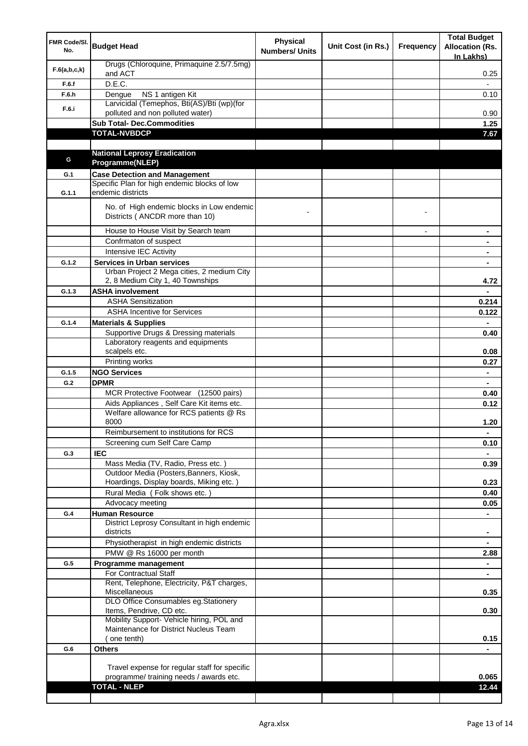| FMR Code/SI.<br>No. | <b>Budget Head</b>                                                                           | <b>Physical</b><br><b>Numbers/ Units</b> | Unit Cost (in Rs.) | <b>Frequency</b> | <b>Total Budget</b><br><b>Allocation (Rs.</b><br>In Lakhs) |
|---------------------|----------------------------------------------------------------------------------------------|------------------------------------------|--------------------|------------------|------------------------------------------------------------|
| F.6(a,b,c,k)        | Drugs (Chloroquine, Primaquine 2.5/7.5mg)<br>and ACT                                         |                                          |                    |                  | 0.25                                                       |
| F.6.f               | D.E.C.                                                                                       |                                          |                    |                  |                                                            |
| F.6.h               | NS 1 antigen Kit<br>Dengue                                                                   |                                          |                    |                  | 0.10                                                       |
| F.6.i               | Larvicidal (Temephos, Bti(AS)/Bti (wp)(for<br>polluted and non polluted water)               |                                          |                    |                  | 0.90                                                       |
|                     | <b>Sub Total- Dec.Commodities</b>                                                            |                                          |                    |                  | 1.25                                                       |
|                     | <b>TOTAL-NVBDCP</b>                                                                          |                                          |                    |                  | 7.67                                                       |
|                     |                                                                                              |                                          |                    |                  |                                                            |
| G                   | <b>National Leprosy Eradication</b>                                                          |                                          |                    |                  |                                                            |
|                     | Programme(NLEP)                                                                              |                                          |                    |                  |                                                            |
| G.1                 | <b>Case Detection and Management</b>                                                         |                                          |                    |                  |                                                            |
| G.1.1               | Specific Plan for high endemic blocks of low<br>endemic districts                            |                                          |                    |                  |                                                            |
|                     | No. of High endemic blocks in Low endemic<br>Districts (ANCDR more than 10)                  |                                          |                    |                  |                                                            |
|                     | House to House Visit by Search team                                                          |                                          |                    | $\overline{a}$   | ۰                                                          |
|                     | Confrmaton of suspect                                                                        |                                          |                    |                  | $\blacksquare$                                             |
|                     | Intensive IEC Activity                                                                       |                                          |                    |                  | ۰                                                          |
| G.1.2               | <b>Services in Urban services</b>                                                            |                                          |                    |                  | ٠                                                          |
|                     | Urban Project 2 Mega cities, 2 medium City<br>2, 8 Medium City 1, 40 Townships               |                                          |                    |                  | 4.72                                                       |
| G.1.3               | <b>ASHA involvement</b>                                                                      |                                          |                    |                  |                                                            |
|                     | <b>ASHA Sensitization</b>                                                                    |                                          |                    |                  | 0.214                                                      |
|                     | <b>ASHA Incentive for Services</b>                                                           |                                          |                    |                  | 0.122                                                      |
| G.1.4               | <b>Materials &amp; Supplies</b>                                                              |                                          |                    |                  |                                                            |
|                     | Supportive Drugs & Dressing materials<br>Laboratory reagents and equipments<br>scalpels etc. |                                          |                    |                  | 0.40<br>0.08                                               |
|                     | Printing works                                                                               |                                          |                    |                  | 0.27                                                       |
| G.1.5               | <b>NGO Services</b>                                                                          |                                          |                    |                  | ٠                                                          |
| G.2                 | <b>DPMR</b>                                                                                  |                                          |                    |                  |                                                            |
|                     | MCR Protective Footwear (12500 pairs)                                                        |                                          |                    |                  | 0.40                                                       |
|                     | Aids Appliances, Self Care Kit items etc.                                                    |                                          |                    |                  | 0.12                                                       |
|                     | Welfare allowance for RCS patients @ Rs<br>8000                                              |                                          |                    |                  | 1.20                                                       |
|                     | Reimbursement to institutions for RCS                                                        |                                          |                    |                  | ٠                                                          |
|                     | Screening cum Self Care Camp                                                                 |                                          |                    |                  | 0.10                                                       |
| G.3                 | <b>IEC</b>                                                                                   |                                          |                    |                  |                                                            |
|                     | Mass Media (TV, Radio, Press etc.)                                                           |                                          |                    |                  | 0.39                                                       |
|                     | Outdoor Media (Posters, Banners, Kiosk,                                                      |                                          |                    |                  |                                                            |
|                     | Hoardings, Display boards, Miking etc.)<br>Rural Media (Folk shows etc.)                     |                                          |                    |                  | 0.23<br>0.40                                               |
|                     | Advocacy meeting                                                                             |                                          |                    |                  | 0.05                                                       |
| G.4                 | <b>Human Resource</b>                                                                        |                                          |                    |                  |                                                            |
|                     | District Leprosy Consultant in high endemic<br>districts                                     |                                          |                    |                  |                                                            |
|                     | Physiotherapist in high endemic districts                                                    |                                          |                    |                  |                                                            |
|                     | PMW @ Rs 16000 per month                                                                     |                                          |                    |                  | 2.88                                                       |
| G.5                 | Programme management                                                                         |                                          |                    |                  |                                                            |
|                     | For Contractual Staff                                                                        |                                          |                    |                  |                                                            |
|                     | Rent, Telephone, Electricity, P&T charges,<br>Miscellaneous                                  |                                          |                    |                  | 0.35                                                       |
|                     | DLO Office Consumables eg.Stationery<br>Items, Pendrive, CD etc.                             |                                          |                    |                  | 0.30                                                       |
|                     | Mobility Support- Vehicle hiring, POL and                                                    |                                          |                    |                  |                                                            |
|                     | Maintenance for District Nucleus Team                                                        |                                          |                    |                  |                                                            |
|                     | ( one tenth)                                                                                 |                                          |                    |                  | 0.15                                                       |
| G.6                 | <b>Others</b>                                                                                |                                          |                    |                  |                                                            |
|                     |                                                                                              |                                          |                    |                  |                                                            |
|                     | Travel expense for regular staff for specific<br>programme/ training needs / awards etc.     |                                          |                    |                  | 0.065                                                      |
|                     | <b>TOTAL - NLEP</b>                                                                          |                                          |                    |                  | 12.44                                                      |
|                     |                                                                                              |                                          |                    |                  |                                                            |